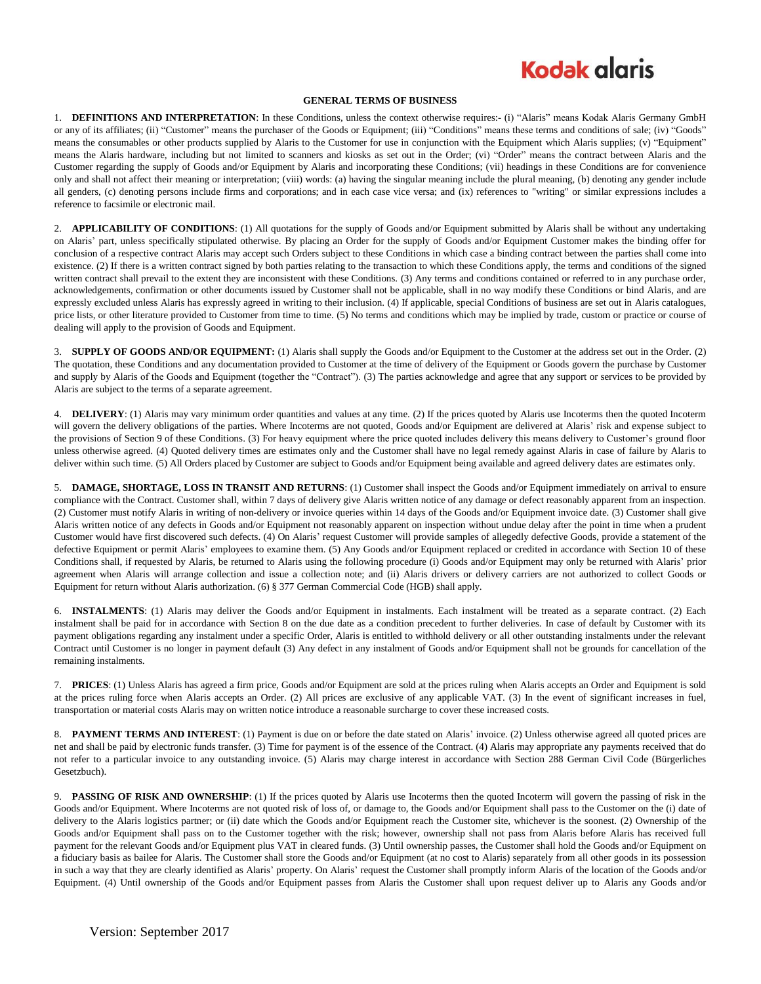# **Kodak glaris**

#### **GENERAL TERMS OF BUSINESS**

1. **DEFINITIONS AND INTERPRETATION**: In these Conditions, unless the context otherwise requires:- (i) "Alaris" means Kodak Alaris Germany GmbH or any of its affiliates; (ii) "Customer" means the purchaser of the Goods or Equipment; (iii) "Conditions" means these terms and conditions of sale; (iv) "Goods" means the consumables or other products supplied by Alaris to the Customer for use in conjunction with the Equipment which Alaris supplies; (v) "Equipment" means the Alaris hardware, including but not limited to scanners and kiosks as set out in the Order; (vi) "Order" means the contract between Alaris and the Customer regarding the supply of Goods and/or Equipment by Alaris and incorporating these Conditions; (vii) headings in these Conditions are for convenience only and shall not affect their meaning or interpretation; (viii) words: (a) having the singular meaning include the plural meaning, (b) denoting any gender include all genders, (c) denoting persons include firms and corporations; and in each case vice versa; and (ix) references to "writing" or similar expressions includes a reference to facsimile or electronic mail.

2. **APPLICABILITY OF CONDITIONS**: (1) All quotations for the supply of Goods and/or Equipment submitted by Alaris shall be without any undertaking on Alaris' part, unless specifically stipulated otherwise. By placing an Order for the supply of Goods and/or Equipment Customer makes the binding offer for conclusion of a respective contract Alaris may accept such Orders subject to these Conditions in which case a binding contract between the parties shall come into existence. (2) If there is a written contract signed by both parties relating to the transaction to which these Conditions apply, the terms and conditions of the signed written contract shall prevail to the extent they are inconsistent with these Conditions. (3) Any terms and conditions contained or referred to in any purchase order, acknowledgements, confirmation or other documents issued by Customer shall not be applicable, shall in no way modify these Conditions or bind Alaris, and are expressly excluded unless Alaris has expressly agreed in writing to their inclusion. (4) If applicable, special Conditions of business are set out in Alaris catalogues, price lists, or other literature provided to Customer from time to time. (5) No terms and conditions which may be implied by trade, custom or practice or course of dealing will apply to the provision of Goods and Equipment.

3. **SUPPLY OF GOODS AND/OR EQUIPMENT:** (1) Alaris shall supply the Goods and/or Equipment to the Customer at the address set out in the Order. (2) The quotation, these Conditions and any documentation provided to Customer at the time of delivery of the Equipment or Goods govern the purchase by Customer and supply by Alaris of the Goods and Equipment (together the "Contract"). (3) The parties acknowledge and agree that any support or services to be provided by Alaris are subject to the terms of a separate agreement.

4. **DELIVERY**: (1) Alaris may vary minimum order quantities and values at any time. (2) If the prices quoted by Alaris use Incoterms then the quoted Incoterm will govern the delivery obligations of the parties. Where Incoterms are not quoted, Goods and/or Equipment are delivered at Alaris' risk and expense subject to the provisions of Section 9 of these Conditions. (3) For heavy equipment where the price quoted includes delivery this means delivery to Customer's ground floor unless otherwise agreed. (4) Quoted delivery times are estimates only and the Customer shall have no legal remedy against Alaris in case of failure by Alaris to deliver within such time. (5) All Orders placed by Customer are subject to Goods and/or Equipment being available and agreed delivery dates are estimates only.

5. **DAMAGE, SHORTAGE, LOSS IN TRANSIT AND RETURNS**: (1) Customer shall inspect the Goods and/or Equipment immediately on arrival to ensure compliance with the Contract. Customer shall, within 7 days of delivery give Alaris written notice of any damage or defect reasonably apparent from an inspection. (2) Customer must notify Alaris in writing of non-delivery or invoice queries within 14 days of the Goods and/or Equipment invoice date. (3) Customer shall give Alaris written notice of any defects in Goods and/or Equipment not reasonably apparent on inspection without undue delay after the point in time when a prudent Customer would have first discovered such defects. (4) On Alaris' request Customer will provide samples of allegedly defective Goods, provide a statement of the defective Equipment or permit Alaris' employees to examine them. (5) Any Goods and/or Equipment replaced or credited in accordance with Section 10 of these Conditions shall, if requested by Alaris, be returned to Alaris using the following procedure (i) Goods and/or Equipment may only be returned with Alaris' prior agreement when Alaris will arrange collection and issue a collection note; and (ii) Alaris drivers or delivery carriers are not authorized to collect Goods or Equipment for return without Alaris authorization. (6) § 377 German Commercial Code (HGB) shall apply.

6. **INSTALMENTS**: (1) Alaris may deliver the Goods and/or Equipment in instalments. Each instalment will be treated as a separate contract. (2) Each instalment shall be paid for in accordance with Section [8](#page-0-0) on the due date as a condition precedent to further deliveries. In case of default by Customer with its payment obligations regarding any instalment under a specific Order, Alaris is entitled to withhold delivery or all other outstanding instalments under the relevant Contract until Customer is no longer in payment default (3) Any defect in any instalment of Goods and/or Equipment shall not be grounds for cancellation of the remaining instalments.

7. **PRICES**: (1) Unless Alaris has agreed a firm price, Goods and/or Equipment are sold at the prices ruling when Alaris accepts an Order and Equipment is sold at the prices ruling force when Alaris accepts an Order. (2) All prices are exclusive of any applicable VAT. (3) In the event of significant increases in fuel, transportation or material costs Alaris may on written notice introduce a reasonable surcharge to cover these increased costs.

<span id="page-0-0"></span>8. **PAYMENT TERMS AND INTEREST**: (1) Payment is due on or before the date stated on Alaris' invoice. (2) Unless otherwise agreed all quoted prices are net and shall be paid by electronic funds transfer. (3) Time for payment is of the essence of the Contract. (4) Alaris may appropriate any payments received that do not refer to a particular invoice to any outstanding invoice. (5) Alaris may charge interest in accordance with Section 288 German Civil Code (Bürgerliches Gesetzbuch).

9. **PASSING OF RISK AND OWNERSHIP**: (1) If the prices quoted by Alaris use Incoterms then the quoted Incoterm will govern the passing of risk in the Goods and/or Equipment. Where Incoterms are not quoted risk of loss of, or damage to, the Goods and/or Equipment shall pass to the Customer on the (i) date of delivery to the Alaris logistics partner; or (ii) date which the Goods and/or Equipment reach the Customer site, whichever is the soonest. (2) Ownership of the Goods and/or Equipment shall pass on to the Customer together with the risk; however, ownership shall not pass from Alaris before Alaris has received full payment for the relevant Goods and/or Equipment plus VAT in cleared funds. (3) Until ownership passes, the Customer shall hold the Goods and/or Equipment on a fiduciary basis as bailee for Alaris. The Customer shall store the Goods and/or Equipment (at no cost to Alaris) separately from all other goods in its possession in such a way that they are clearly identified as Alaris' property. On Alaris' request the Customer shall promptly inform Alaris of the location of the Goods and/or Equipment. (4) Until ownership of the Goods and/or Equipment passes from Alaris the Customer shall upon request deliver up to Alaris any Goods and/or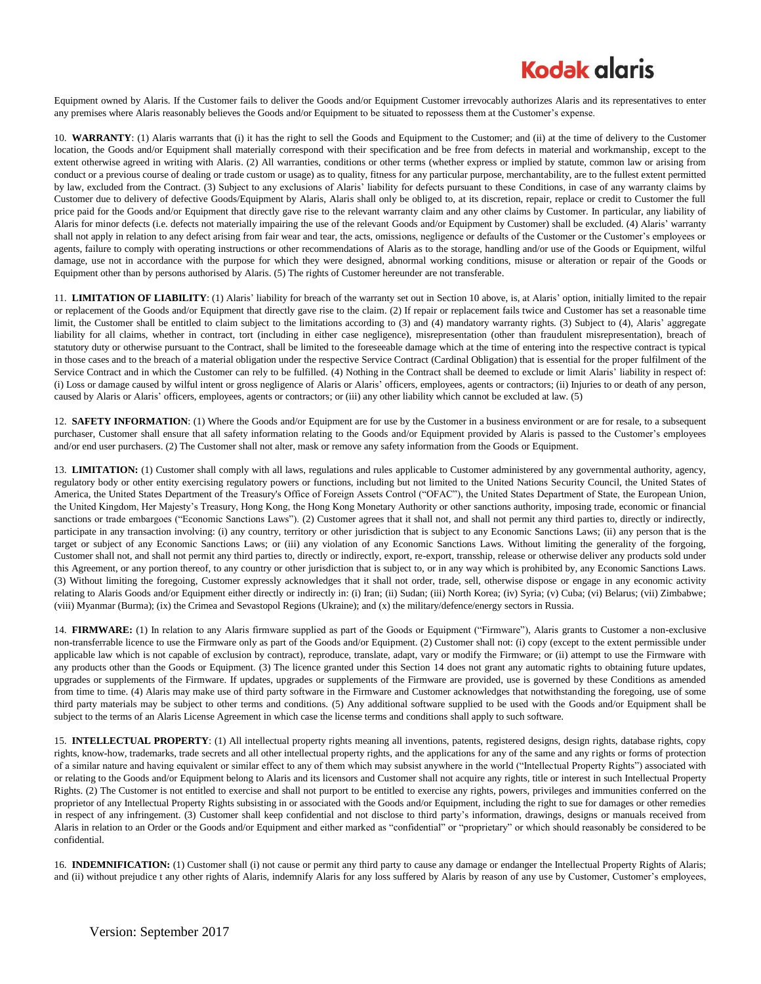# **Kodak alaris**

Equipment owned by Alaris. If the Customer fails to deliver the Goods and/or Equipment Customer irrevocably authorizes Alaris and its representatives to enter any premises where Alaris reasonably believes the Goods and/or Equipment to be situated to repossess them at the Customer's expense.

<span id="page-1-0"></span>10. **WARRANTY**: (1) Alaris warrants that (i) it has the right to sell the Goods and Equipment to the Customer; and (ii) at the time of delivery to the Customer location, the Goods and/or Equipment shall materially correspond with their specification and be free from defects in material and workmanship, except to the extent otherwise agreed in writing with Alaris. (2) All warranties, conditions or other terms (whether express or implied by statute, common law or arising from conduct or a previous course of dealing or trade custom or usage) as to quality, fitness for any particular purpose, merchantability, are to the fullest extent permitted by law, excluded from the Contract. (3) Subject to any exclusions of Alaris' liability for defects pursuant to these Conditions, in case of any warranty claims by Customer due to delivery of defective Goods/Equipment by Alaris, Alaris shall only be obliged to, at its discretion, repair, replace or credit to Customer the full price paid for the Goods and/or Equipment that directly gave rise to the relevant warranty claim and any other claims by Customer. In particular, any liability of Alaris for minor defects (i.e. defects not materially impairing the use of the relevant Goods and/or Equipment by Customer) shall be excluded. (4) Alaris' warranty shall not apply in relation to any defect arising from fair wear and tear, the acts, omissions, negligence or defaults of the Customer or the Customer's employees or agents, failure to comply with operating instructions or other recommendations of Alaris as to the storage, handling and/or use of the Goods or Equipment, wilful damage, use not in accordance with the purpose for which they were designed, abnormal working conditions, misuse or alteration or repair of the Goods or Equipment other than by persons authorised by Alaris. (5) The rights of Customer hereunder are not transferable.

11. **LIMITATION OF LIABILITY**: (1) Alaris' liability for breach of the warranty set out in Sectio[n 10](#page-1-0) above, is, at Alaris' option, initially limited to the repair or replacement of the Goods and/or Equipment that directly gave rise to the claim. (2) If repair or replacement fails twice and Customer has set a reasonable time limit, the Customer shall be entitled to claim subject to the limitations according to (3) and (4) mandatory warranty rights. (3) Subject to (4), Alaris' aggregate liability for all claims, whether in contract, tort (including in either case negligence), misrepresentation (other than fraudulent misrepresentation), breach of statutory duty or otherwise pursuant to the Contract, shall be limited to the foreseeable damage which at the time of entering into the respective contract is typical in those cases and to the breach of a material obligation under the respective Service Contract (Cardinal Obligation) that is essential for the proper fulfilment of the Service Contract and in which the Customer can rely to be fulfilled. (4) Nothing in the Contract shall be deemed to exclude or limit Alaris' liability in respect of: (i) Loss or damage caused by wilful intent or gross negligence of Alaris or Alaris' officers, employees, agents or contractors; (ii) Injuries to or death of any person, caused by Alaris or Alaris' officers, employees, agents or contractors; or (iii) any other liability which cannot be excluded at law. (5)

12. **SAFETY INFORMATION**: (1) Where the Goods and/or Equipment are for use by the Customer in a business environment or are for resale, to a subsequent purchaser, Customer shall ensure that all safety information relating to the Goods and/or Equipment provided by Alaris is passed to the Customer's employees and/or end user purchasers. (2) The Customer shall not alter, mask or remove any safety information from the Goods or Equipment.

13. **LIMITATION:** (1) Customer shall comply with all laws, regulations and rules applicable to Customer administered by any governmental authority, agency, regulatory body or other entity exercising regulatory powers or functions, including but not limited to the United Nations Security Council, the United States of America, the United States Department of the Treasury's Office of Foreign Assets Control ("OFAC"), the United States Department of State, the European Union, the United Kingdom, Her Majesty's Treasury, Hong Kong, the Hong Kong Monetary Authority or other sanctions authority, imposing trade, economic or financial sanctions or trade embargoes ("Economic Sanctions Laws"). (2) Customer agrees that it shall not, and shall not permit any third parties to, directly or indirectly, participate in any transaction involving: (i) any country, territory or other jurisdiction that is subject to any Economic Sanctions Laws; (ii) any person that is the target or subject of any Economic Sanctions Laws; or (iii) any violation of any Economic Sanctions Laws. Without limiting the generality of the forgoing, Customer shall not, and shall not permit any third parties to, directly or indirectly, export, re-export, transship, release or otherwise deliver any products sold under this Agreement, or any portion thereof, to any country or other jurisdiction that is subject to, or in any way which is prohibited by, any Economic Sanctions Laws. (3) Without limiting the foregoing, Customer expressly acknowledges that it shall not order, trade, sell, otherwise dispose or engage in any economic activity relating to Alaris Goods and/or Equipment either directly or indirectly in: (i) Iran; (ii) Sudan; (iii) North Korea; (iv) Syria; (v) Cuba; (vi) Belarus; (vii) Zimbabwe; (viii) Myanmar (Burma); (ix) the Crimea and Sevastopol Regions (Ukraine); and (x) the military/defence/energy sectors in Russia.

14. **FIRMWARE:** (1) In relation to any Alaris firmware supplied as part of the Goods or Equipment ("Firmware"), Alaris grants to Customer a non-exclusive non-transferrable licence to use the Firmware only as part of the Goods and/or Equipment. (2) Customer shall not: (i) copy (except to the extent permissible under applicable law which is not capable of exclusion by contract), reproduce, translate, adapt, vary or modify the Firmware; or (ii) attempt to use the Firmware with any products other than the Goods or Equipment. (3) The licence granted under this Section 14 does not grant any automatic rights to obtaining future updates, upgrades or supplements of the Firmware. If updates, upgrades or supplements of the Firmware are provided, use is governed by these Conditions as amended from time to time. (4) Alaris may make use of third party software in the Firmware and Customer acknowledges that notwithstanding the foregoing, use of some third party materials may be subject to other terms and conditions. (5) Any additional software supplied to be used with the Goods and/or Equipment shall be subject to the terms of an Alaris License Agreement in which case the license terms and conditions shall apply to such software.

15. **INTELLECTUAL PROPERTY**: (1) All intellectual property rights meaning all inventions, patents, registered designs, design rights, database rights, copy rights, know-how, trademarks, trade secrets and all other intellectual property rights, and the applications for any of the same and any rights or forms of protection of a similar nature and having equivalent or similar effect to any of them which may subsist anywhere in the world ("Intellectual Property Rights") associated with or relating to the Goods and/or Equipment belong to Alaris and its licensors and Customer shall not acquire any rights, title or interest in such Intellectual Property Rights. (2) The Customer is not entitled to exercise and shall not purport to be entitled to exercise any rights, powers, privileges and immunities conferred on the proprietor of any Intellectual Property Rights subsisting in or associated with the Goods and/or Equipment, including the right to sue for damages or other remedies in respect of any infringement. (3) Customer shall keep confidential and not disclose to third party's information, drawings, designs or manuals received from Alaris in relation to an Order or the Goods and/or Equipment and either marked as "confidential" or "proprietary" or which should reasonably be considered to be confidential.

16. **INDEMNIFICATION:** (1) Customer shall (i) not cause or permit any third party to cause any damage or endanger the Intellectual Property Rights of Alaris; and (ii) without prejudice t any other rights of Alaris, indemnify Alaris for any loss suffered by Alaris by reason of any use by Customer, Customer's employees,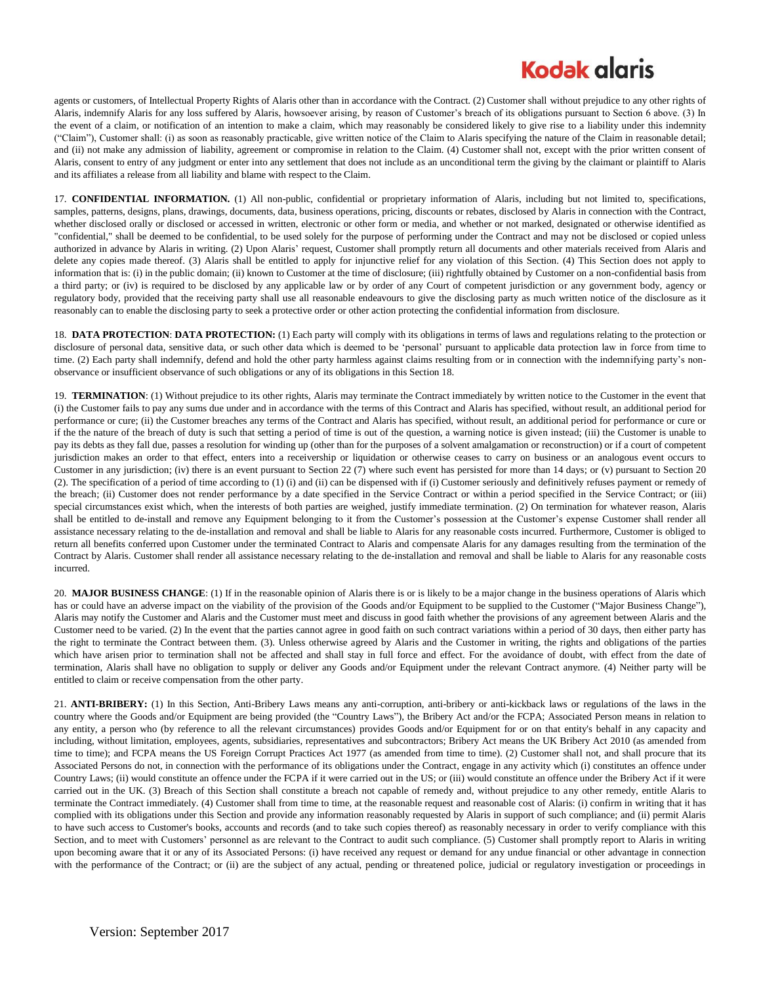# **Kodak glgris**

agents or customers, of Intellectual Property Rights of Alaris other than in accordance with the Contract. (2) Customer shall without prejudice to any other rights of Alaris, indemnify Alaris for any loss suffered by Alaris, howsoever arising, by reason of Customer's breach of its obligations pursuant to Section 6 above. (3) In the event of a claim, or notification of an intention to make a claim, which may reasonably be considered likely to give rise to a liability under this indemnity ("Claim"), Customer shall: (i) as soon as reasonably practicable, give written notice of the Claim to Alaris specifying the nature of the Claim in reasonable detail; and (ii) not make any admission of liability, agreement or compromise in relation to the Claim. (4) Customer shall not, except with the prior written consent of Alaris, consent to entry of any judgment or enter into any settlement that does not include as an unconditional term the giving by the claimant or plaintiff to Alaris and its affiliates a release from all liability and blame with respect to the Claim.

17. **CONFIDENTIAL INFORMATION.** (1) All non-public, confidential or proprietary information of Alaris, including but not limited to, specifications, samples, patterns, designs, plans, drawings, documents, data, business operations, pricing, discounts or rebates, disclosed by Alaris in connection with the Contract, whether disclosed orally or disclosed or accessed in written, electronic or other form or media, and whether or not marked, designated or otherwise identified as "confidential," shall be deemed to be confidential, to be used solely for the purpose of performing under the Contract and may not be disclosed or copied unless authorized in advance by Alaris in writing. (2) Upon Alaris' request, Customer shall promptly return all documents and other materials received from Alaris and delete any copies made thereof. (3) Alaris shall be entitled to apply for injunctive relief for any violation of this Section. (4) This Section does not apply to information that is: (i) in the public domain; (ii) known to Customer at the time of disclosure; (iii) rightfully obtained by Customer on a non-confidential basis from a third party; or (iv) is required to be disclosed by any applicable law or by order of any Court of competent jurisdiction or any government body, agency or regulatory body, provided that the receiving party shall use all reasonable endeavours to give the disclosing party as much written notice of the disclosure as it reasonably can to enable the disclosing party to seek a protective order or other action protecting the confidential information from disclosure.

18. **DATA PROTECTION**: **DATA PROTECTION:** (1) Each party will comply with its obligations in terms of laws and regulations relating to the protection or disclosure of personal data, sensitive data, or such other data which is deemed to be 'personal' pursuant to applicable data protection law in force from time to time. (2) Each party shall indemnify, defend and hold the other party harmless against claims resulting from or in connection with the indemnifying party's nonobservance or insufficient observance of such obligations or any of its obligations in this Section 18.

19. **TERMINATION**: (1) Without prejudice to its other rights, Alaris may terminate the Contract immediately by written notice to the Customer in the event that (i) the Customer fails to pay any sums due under and in accordance with the terms of this Contract and Alaris has specified, without result, an additional period for performance or cure; (ii) the Customer breaches any terms of the Contract and Alaris has specified, without result, an additional period for performance or cure or if the the nature of the breach of duty is such that setting a period of time is out of the question, a warning notice is given instead; (iii) the Customer is unable to pay its debts as they fall due, passes a resolution for winding up (other than for the purposes of a solvent amalgamation or reconstruction) or if a court of competent jurisdiction makes an order to that effect, enters into a receivership or liquidation or otherwise ceases to carry on business or an analogous event occurs to Customer in any jurisdiction; (iv) there is an event pursuant to Section 22 (7) where such event has persisted for more than 14 days; or (v) pursuant to Section 20 (2). The specification of a period of time according to (1) (i) and (ii) can be dispensed with if (i) Customer seriously and definitively refuses payment or remedy of the breach; (ii) Customer does not render performance by a date specified in the Service Contract or within a period specified in the Service Contract; or (iii) special circumstances exist which, when the interests of both parties are weighed, justify immediate termination. (2) On termination for whatever reason, Alaris shall be entitled to de-install and remove any Equipment belonging to it from the Customer's possession at the Customer's expense Customer shall render all assistance necessary relating to the de-installation and removal and shall be liable to Alaris for any reasonable costs incurred. Furthermore, Customer is obliged to return all benefits conferred upon Customer under the terminated Contract to Alaris and compensate Alaris for any damages resulting from the termination of the Contract by Alaris. Customer shall render all assistance necessary relating to the de-installation and removal and shall be liable to Alaris for any reasonable costs incurred.

20. **MAJOR BUSINESS CHANGE**: (1) If in the reasonable opinion of Alaris there is or is likely to be a major change in the business operations of Alaris which has or could have an adverse impact on the viability of the provision of the Goods and/or Equipment to be supplied to the Customer ("Major Business Change"), Alaris may notify the Customer and Alaris and the Customer must meet and discuss in good faith whether the provisions of any agreement between Alaris and the Customer need to be varied. (2) In the event that the parties cannot agree in good faith on such contract variations within a period of 30 days, then either party has the right to terminate the Contract between them. (3). Unless otherwise agreed by Alaris and the Customer in writing, the rights and obligations of the parties which have arisen prior to termination shall not be affected and shall stay in full force and effect. For the avoidance of doubt, with effect from the date of termination, Alaris shall have no obligation to supply or deliver any Goods and/or Equipment under the relevant Contract anymore. (4) Neither party will be entitled to claim or receive compensation from the other party.

21. **ANTI-BRIBERY:** (1) In this Section, Anti-Bribery Laws means any anti-corruption, anti-bribery or anti-kickback laws or regulations of the laws in the country where the Goods and/or Equipment are being provided (the "Country Laws"), the Bribery Act and/or the FCPA; Associated Person means in relation to any entity, a person who (by reference to all the relevant circumstances) provides Goods and/or Equipment for or on that entity's behalf in any capacity and including, without limitation, employees, agents, subsidiaries, representatives and subcontractors; Bribery Act means the UK Bribery Act 2010 (as amended from time to time); and FCPA means the US Foreign Corrupt Practices Act 1977 (as amended from time to time). (2) Customer shall not, and shall procure that its Associated Persons do not, in connection with the performance of its obligations under the Contract, engage in any activity which (i) constitutes an offence under Country Laws; (ii) would constitute an offence under the FCPA if it were carried out in the US; or (iii) would constitute an offence under the Bribery Act if it were carried out in the UK. (3) Breach of this Section shall constitute a breach not capable of remedy and, without prejudice to any other remedy, entitle Alaris to terminate the Contract immediately. (4) Customer shall from time to time, at the reasonable request and reasonable cost of Alaris: (i) confirm in writing that it has complied with its obligations under this Section and provide any information reasonably requested by Alaris in support of such compliance; and (ii) permit Alaris to have such access to Customer's books, accounts and records (and to take such copies thereof) as reasonably necessary in order to verify compliance with this Section, and to meet with Customers' personnel as are relevant to the Contract to audit such compliance. (5) Customer shall promptly report to Alaris in writing upon becoming aware that it or any of its Associated Persons: (i) have received any request or demand for any undue financial or other advantage in connection with the performance of the Contract; or (ii) are the subject of any actual, pending or threatened police, judicial or regulatory investigation or proceedings in